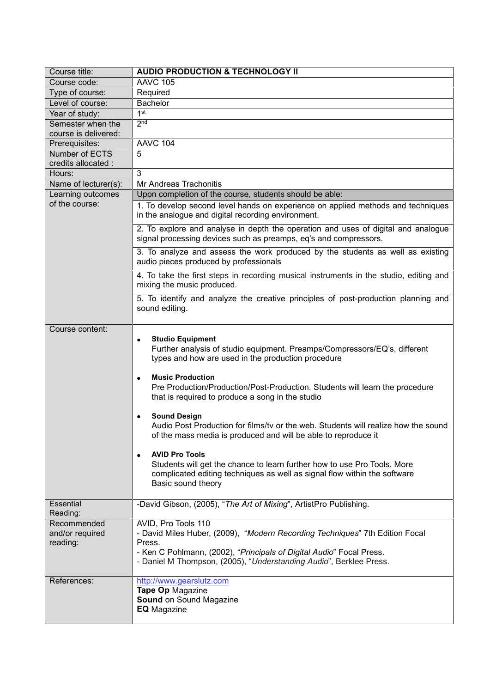| Course title:                              | <b>AUDIO PRODUCTION &amp; TECHNOLOGY II</b>                                                                                                                                                                                                                                                                                                                                                                                                                                                                                                                                                                                                                                                                                                             |
|--------------------------------------------|---------------------------------------------------------------------------------------------------------------------------------------------------------------------------------------------------------------------------------------------------------------------------------------------------------------------------------------------------------------------------------------------------------------------------------------------------------------------------------------------------------------------------------------------------------------------------------------------------------------------------------------------------------------------------------------------------------------------------------------------------------|
| Course code:                               | <b>AAVC 105</b>                                                                                                                                                                                                                                                                                                                                                                                                                                                                                                                                                                                                                                                                                                                                         |
| Type of course:                            | Required                                                                                                                                                                                                                                                                                                                                                                                                                                                                                                                                                                                                                                                                                                                                                |
| Level of course:                           | <b>Bachelor</b>                                                                                                                                                                                                                                                                                                                                                                                                                                                                                                                                                                                                                                                                                                                                         |
| Year of study:                             | $1$ st                                                                                                                                                                                                                                                                                                                                                                                                                                                                                                                                                                                                                                                                                                                                                  |
| Semester when the                          | 2 <sub>nd</sub>                                                                                                                                                                                                                                                                                                                                                                                                                                                                                                                                                                                                                                                                                                                                         |
| course is delivered:                       |                                                                                                                                                                                                                                                                                                                                                                                                                                                                                                                                                                                                                                                                                                                                                         |
| Prerequisites:                             | <b>AAVC 104</b>                                                                                                                                                                                                                                                                                                                                                                                                                                                                                                                                                                                                                                                                                                                                         |
| Number of ECTS                             | 5                                                                                                                                                                                                                                                                                                                                                                                                                                                                                                                                                                                                                                                                                                                                                       |
| credits allocated :                        |                                                                                                                                                                                                                                                                                                                                                                                                                                                                                                                                                                                                                                                                                                                                                         |
| Hours:                                     | 3                                                                                                                                                                                                                                                                                                                                                                                                                                                                                                                                                                                                                                                                                                                                                       |
| Name of lecturer(s):                       | Mr Andreas Trachonitis                                                                                                                                                                                                                                                                                                                                                                                                                                                                                                                                                                                                                                                                                                                                  |
| Learning outcomes                          | Upon completion of the course, students should be able:                                                                                                                                                                                                                                                                                                                                                                                                                                                                                                                                                                                                                                                                                                 |
| of the course:                             | 1. To develop second level hands on experience on applied methods and techniques<br>in the analogue and digital recording environment.                                                                                                                                                                                                                                                                                                                                                                                                                                                                                                                                                                                                                  |
|                                            | 2. To explore and analyse in depth the operation and uses of digital and analogue<br>signal processing devices such as preamps, eq's and compressors.                                                                                                                                                                                                                                                                                                                                                                                                                                                                                                                                                                                                   |
|                                            | 3. To analyze and assess the work produced by the students as well as existing<br>audio pieces produced by professionals                                                                                                                                                                                                                                                                                                                                                                                                                                                                                                                                                                                                                                |
|                                            | 4. To take the first steps in recording musical instruments in the studio, editing and<br>mixing the music produced.                                                                                                                                                                                                                                                                                                                                                                                                                                                                                                                                                                                                                                    |
|                                            | 5. To identify and analyze the creative principles of post-production planning and<br>sound editing.                                                                                                                                                                                                                                                                                                                                                                                                                                                                                                                                                                                                                                                    |
| Course content:                            | <b>Studio Equipment</b><br>$\bullet$<br>Further analysis of studio equipment. Preamps/Compressors/EQ's, different<br>types and how are used in the production procedure<br><b>Music Production</b><br>$\bullet$<br>Pre Production/Production/Post-Production. Students will learn the procedure<br>that is required to produce a song in the studio<br><b>Sound Design</b><br>Audio Post Production for films/tv or the web. Students will realize how the sound<br>of the mass media is produced and will be able to reproduce it<br><b>AVID Pro Tools</b><br>$\bullet$<br>Students will get the chance to learn further how to use Pro Tools. More<br>complicated editing techniques as well as signal flow within the software<br>Basic sound theory |
| Essential<br>Reading:                      | -David Gibson, (2005), "The Art of Mixing", ArtistPro Publishing.                                                                                                                                                                                                                                                                                                                                                                                                                                                                                                                                                                                                                                                                                       |
| Recommended<br>and/or required<br>reading: | AVID, Pro Tools 110<br>- David Miles Huber, (2009), "Modern Recording Techniques" 7th Edition Focal<br>Press.<br>- Ken C Pohlmann, (2002), "Principals of Digital Audio" Focal Press.<br>- Daniel M Thompson, (2005), "Understanding Audio", Berklee Press.                                                                                                                                                                                                                                                                                                                                                                                                                                                                                             |
| References:                                | http://www.gearslutz.com<br>Tape Op Magazine<br>Sound on Sound Magazine<br><b>EQ</b> Magazine                                                                                                                                                                                                                                                                                                                                                                                                                                                                                                                                                                                                                                                           |